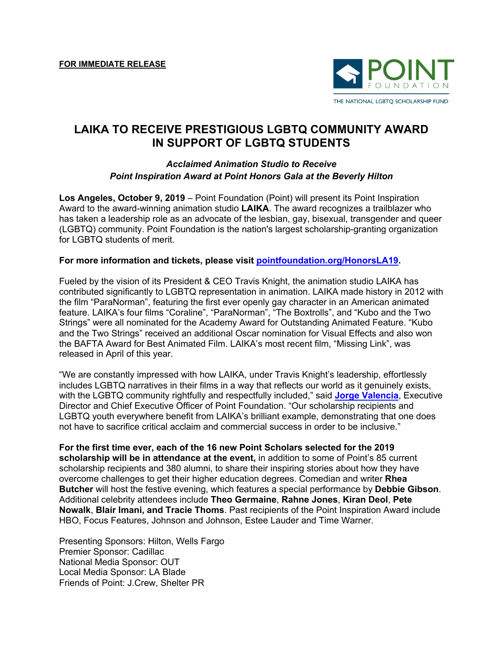

## **LAIKA TO RECEIVE PRESTIGIOUS LGBTQ COMMUNITY AWARD IN SUPPORT OF LGBTQ STUDENTS**

## *Acclaimed Animation Studio to Receive Point Inspiration Award at Point Honors Gala at the Beverly Hilton*

**Los Angeles, October 9, 2019** – Point Foundation (Point) will present its Point Inspiration Award to the award-winning animation studio **LAIKA**. The award recognizes a trailblazer who has taken a leadership role as an advocate of the lesbian, gay, bisexual, transgender and queer (LGBTQ) community. Point Foundation is the nation's largest scholarship-granting organization for LGBTQ students of merit.

## **For more information and tickets, please visit pointfoundation.org/HonorsLA19.**

Fueled by the vision of its President & CEO Travis Knight, the animation studio LAIKA has contributed significantly to LGBTQ representation in animation. LAIKA made history in 2012 with the film "ParaNorman", featuring the first ever openly gay character in an American animated feature. LAIKA's four films "Coraline", "ParaNorman", "The Boxtrolls", and "Kubo and the Two Strings" were all nominated for the Academy Award for Outstanding Animated Feature. "Kubo and the Two Strings" received an additional Oscar nomination for Visual Effects and also won the BAFTA Award for Best Animated Film. LAIKA's most recent film, "Missing Link", was released in April of this year.

"We are constantly impressed with how LAIKA, under Travis Knight's leadership, effortlessly includes LGBTQ narratives in their films in a way that reflects our world as it genuinely exists, with the LGBTQ community rightfully and respectfully included," said **Jorge Valencia**, Executive Director and Chief Executive Officer of Point Foundation. "Our scholarship recipients and LGBTQ youth everywhere benefit from LAIKA's brilliant example, demonstrating that one does not have to sacrifice critical acclaim and commercial success in order to be inclusive."

**For the first time ever, each of the 16 new Point Scholars selected for the 2019 scholarship will be in attendance at the event,** in addition to some of Point's 85 current scholarship recipients and 380 alumni, to share their inspiring stories about how they have overcome challenges to get their higher education degrees. Comedian and writer **Rhea Butcher** will host the festive evening, which features a special performance by **Debbie Gibson**. Additional celebrity attendees include **Theo Germaine**, **Rahne Jones**, **Kiran Deol**, **Pete Nowalk**, **Blair Imani, and Tracie Thoms**. Past recipients of the Point Inspiration Award include HBO, Focus Features, Johnson and Johnson, Estee Lauder and Time Warner.

Presenting Sponsors: Hilton, Wells Fargo Premier Sponsor: Cadillac National Media Sponsor: OUT Local Media Sponsor: LA Blade Friends of Point: J.Crew, Shelter PR